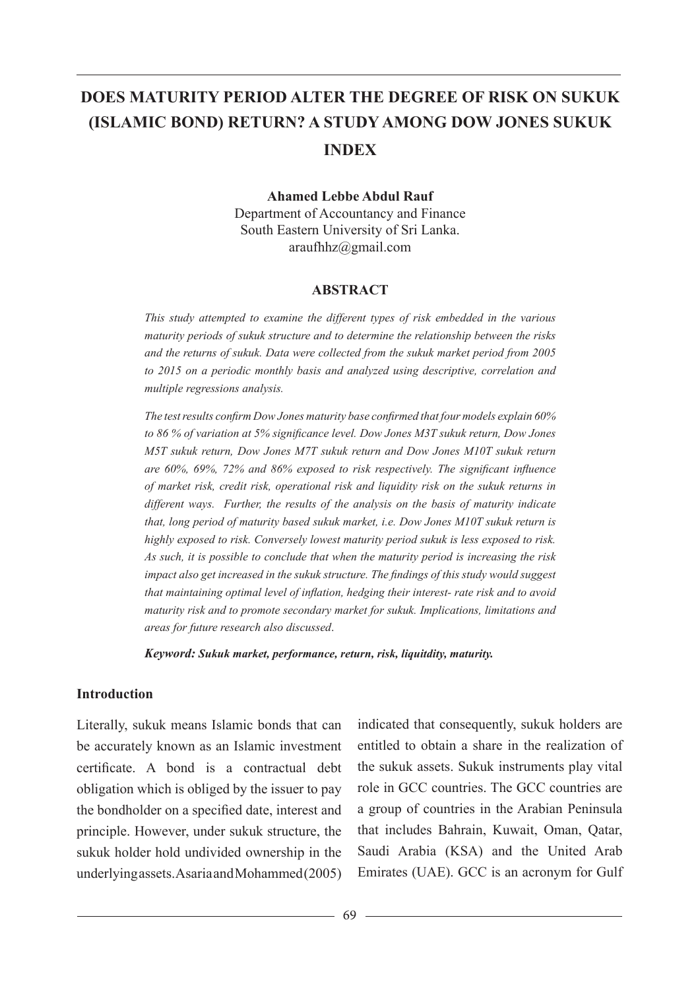# **DOES MATURITY PERIOD ALTER THE DEGREE OF RISK ON SUKUK (ISLAMIC BOND) RETURN? A STUDY AMONG DOW JONES SUKUK INDEX**

**Ahamed Lebbe Abdul Rauf**

Department of Accountancy and Finance South Eastern University of Sri Lanka. araufhhz@gmail.com

#### **ABSTRACT**

*This study attempted to examine the different types of risk embedded in the various maturity periods of sukuk structure and to determine the relationship between the risks and the returns of sukuk. Data were collected from the sukuk market period from 2005 to 2015 on a periodic monthly basis and analyzed using descriptive, correlation and multiple regressions analysis.* 

*The test results confirm Dow Jones maturity base confirmed that four models explain 60% to 86 % of variation at 5% significance level. Dow Jones M3T sukuk return, Dow Jones M5T sukuk return, Dow Jones M7T sukuk return and Dow Jones M10T sukuk return are 60%, 69%, 72% and 86% exposed to risk respectively. The significant influence of market risk, credit risk, operational risk and liquidity risk on the sukuk returns in different ways. Further, the results of the analysis on the basis of maturity indicate that, long period of maturity based sukuk market, i.e. Dow Jones M10T sukuk return is highly exposed to risk. Conversely lowest maturity period sukuk is less exposed to risk. As such, it is possible to conclude that when the maturity period is increasing the risk impact also get increased in the sukuk structure. The findings of this study would suggest that maintaining optimal level of inflation, hedging their interest- rate risk and to avoid maturity risk and to promote secondary market for sukuk. Implications, limitations and areas for future research also discussed*.

*Keyword: Sukuk market, performance, return, risk, liquitdity, maturity.*

#### **Introduction**

Literally, sukuk means Islamic bonds that can be accurately known as an Islamic investment certificate. A bond is a contractual debt obligation which is obliged by the issuer to pay the bondholder on a specified date, interest and principle. However, under sukuk structure, the sukuk holder hold undivided ownership in the underlying assets. Asaria and Mohammed (2005)

indicated that consequently, sukuk holders are entitled to obtain a share in the realization of the sukuk assets. Sukuk instruments play vital role in GCC countries. The GCC countries are a group of countries in the Arabian Peninsula that includes Bahrain, Kuwait, Oman, Qatar, Saudi Arabia (KSA) and the United Arab Emirates (UAE). GCC is an acronym for Gulf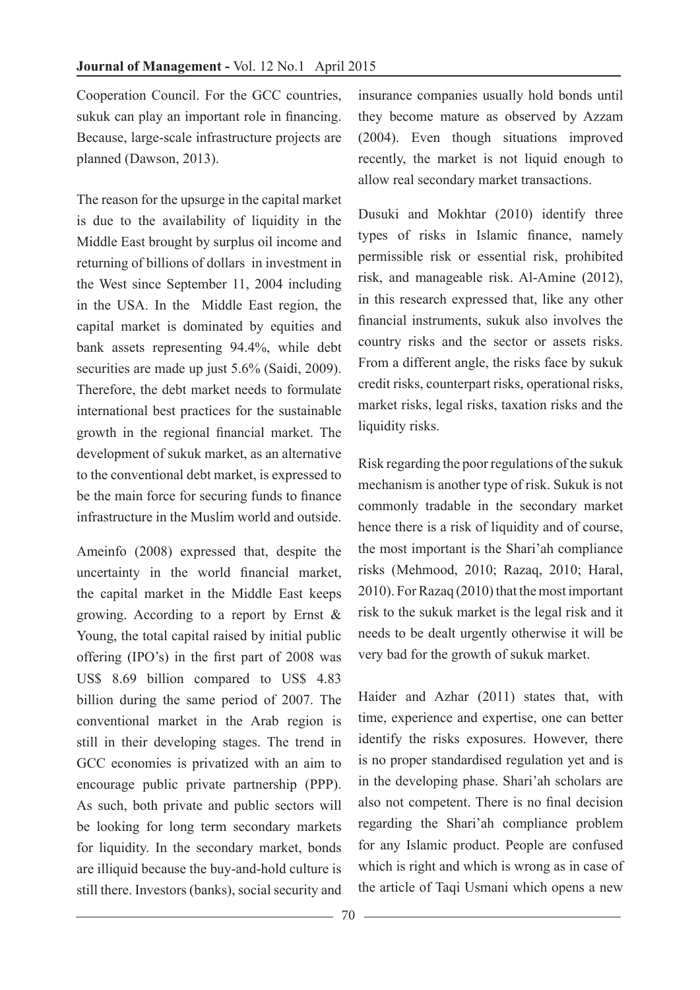Cooperation Council. For the GCC countries, sukuk can play an important role in financing. Because, large-scale infrastructure projects are planned (Dawson, 2013).

The reason for the upsurge in the capital market is due to the availability of liquidity in the Middle East brought by surplus oil income and returning of billions of dollars in investment in the West since September 11, 2004 including in the USA. In the Middle East region, the capital market is dominated by equities and bank assets representing 94.4%, while debt securities are made up just 5.6% (Saidi, 2009). Therefore, the debt market needs to formulate international best practices for the sustainable growth in the regional financial market. The development of sukuk market, as an alternative to the conventional debt market, is expressed to be the main force for securing funds to finance infrastructure in the Muslim world and outside.

Ameinfo (2008) expressed that, despite the uncertainty in the world financial market, the capital market in the Middle East keeps growing. According to a report by Ernst & Young, the total capital raised by initial public offering (IPO's) in the first part of 2008 was US\$ 8.69 billion compared to US\$ 4.83 billion during the same period of 2007. The conventional market in the Arab region is still in their developing stages. The trend in GCC economies is privatized with an aim to encourage public private partnership (PPP). As such, both private and public sectors will be looking for long term secondary markets for liquidity. In the secondary market, bonds are illiquid because the buy-and-hold culture is still there. Investors (banks), social security and

insurance companies usually hold bonds until they become mature as observed by Azzam (2004). Even though situations improved recently, the market is not liquid enough to allow real secondary market transactions.

Dusuki and Mokhtar (2010) identify three types of risks in Islamic finance, namely permissible risk or essential risk, prohibited risk, and manageable risk. Al-Amine (2012), in this research expressed that, like any other financial instruments, sukuk also involves the country risks and the sector or assets risks. From a different angle, the risks face by sukuk credit risks, counterpart risks, operational risks, market risks, legal risks, taxation risks and the liquidity risks.

Risk regarding the poor regulations of the sukuk mechanism is another type of risk. Sukuk is not commonly tradable in the secondary market hence there is a risk of liquidity and of course, the most important is the Shari'ah compliance risks (Mehmood, 2010; Razaq, 2010; Haral, 2010). For Razaq (2010) that the most important risk to the sukuk market is the legal risk and it needs to be dealt urgently otherwise it will be very bad for the growth of sukuk market.

Haider and Azhar (2011) states that, with time, experience and expertise, one can better identify the risks exposures. However, there is no proper standardised regulation yet and is in the developing phase. Shari'ah scholars are also not competent. There is no final decision regarding the Shari'ah compliance problem for any Islamic product. People are confused which is right and which is wrong as in case of the article of Taqi Usmani which opens a new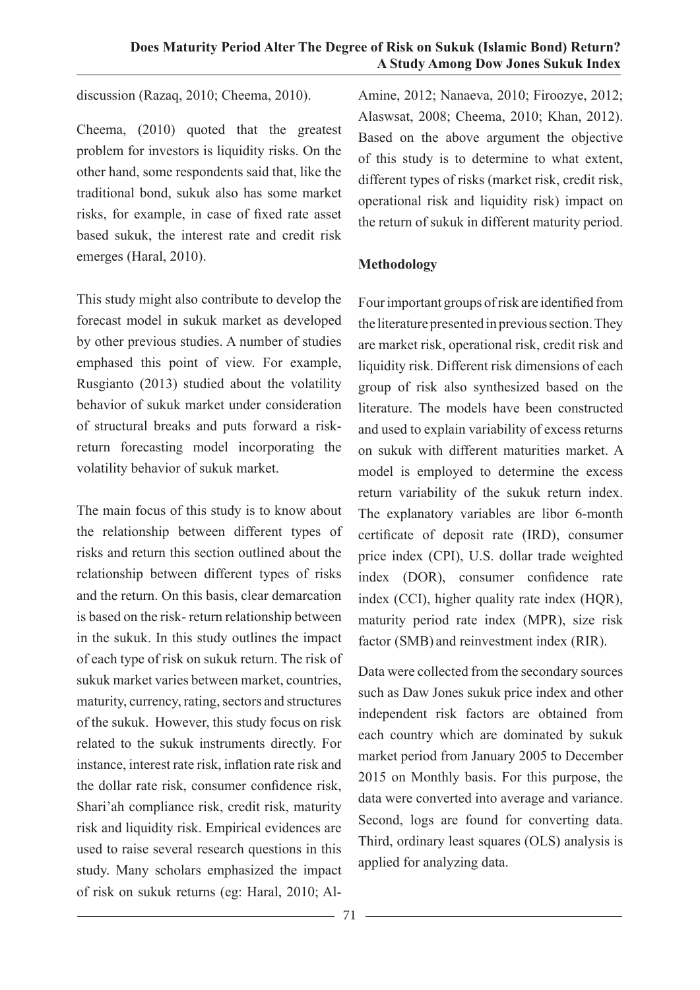discussion (Razaq, 2010; Cheema, 2010).

Cheema, (2010) quoted that the greatest problem for investors is liquidity risks. On the other hand, some respondents said that, like the traditional bond, sukuk also has some market risks, for example, in case of fixed rate asset based sukuk, the interest rate and credit risk emerges (Haral, 2010).

This study might also contribute to develop the forecast model in sukuk market as developed by other previous studies. A number of studies emphased this point of view. For example, Rusgianto (2013) studied about the volatility behavior of sukuk market under consideration of structural breaks and puts forward a riskreturn forecasting model incorporating the volatility behavior of sukuk market.

The main focus of this study is to know about the relationship between different types of risks and return this section outlined about the relationship between different types of risks and the return. On this basis, clear demarcation is based on the risk- return relationship between in the sukuk. In this study outlines the impact of each type of risk on sukuk return. The risk of sukuk market varies between market, countries, maturity, currency, rating, sectors and structures of the sukuk. However, this study focus on risk related to the sukuk instruments directly. For instance, interest rate risk, inflation rate risk and the dollar rate risk, consumer confidence risk, Shari'ah compliance risk, credit risk, maturity risk and liquidity risk. Empirical evidences are used to raise several research questions in this study. Many scholars emphasized the impact of risk on sukuk returns (eg: Haral, 2010; AlAmine, 2012; Nanaeva, 2010; Firoozye, 2012; Alaswsat, 2008; Cheema, 2010; Khan, 2012). Based on the above argument the objective of this study is to determine to what extent, different types of risks (market risk, credit risk, operational risk and liquidity risk) impact on the return of sukuk in different maturity period.

## **Methodology**

Four important groups of risk are identified from the literature presented in previous section. They are market risk, operational risk, credit risk and liquidity risk. Different risk dimensions of each group of risk also synthesized based on the literature. The models have been constructed and used to explain variability of excess returns on sukuk with different maturities market. A model is employed to determine the excess return variability of the sukuk return index. The explanatory variables are libor 6-month certificate of deposit rate (IRD), consumer price index (CPI), U.S. dollar trade weighted index (DOR), consumer confidence rate index (CCI), higher quality rate index (HOR). maturity period rate index (MPR), size risk factor (SMB) and reinvestment index (RIR).

Data were collected from the secondary sources such as Daw Jones sukuk price index and other independent risk factors are obtained from each country which are dominated by sukuk market period from January 2005 to December 2015 on Monthly basis. For this purpose, the data were converted into average and variance. Second, logs are found for converting data. Third, ordinary least squares (OLS) analysis is applied for analyzing data.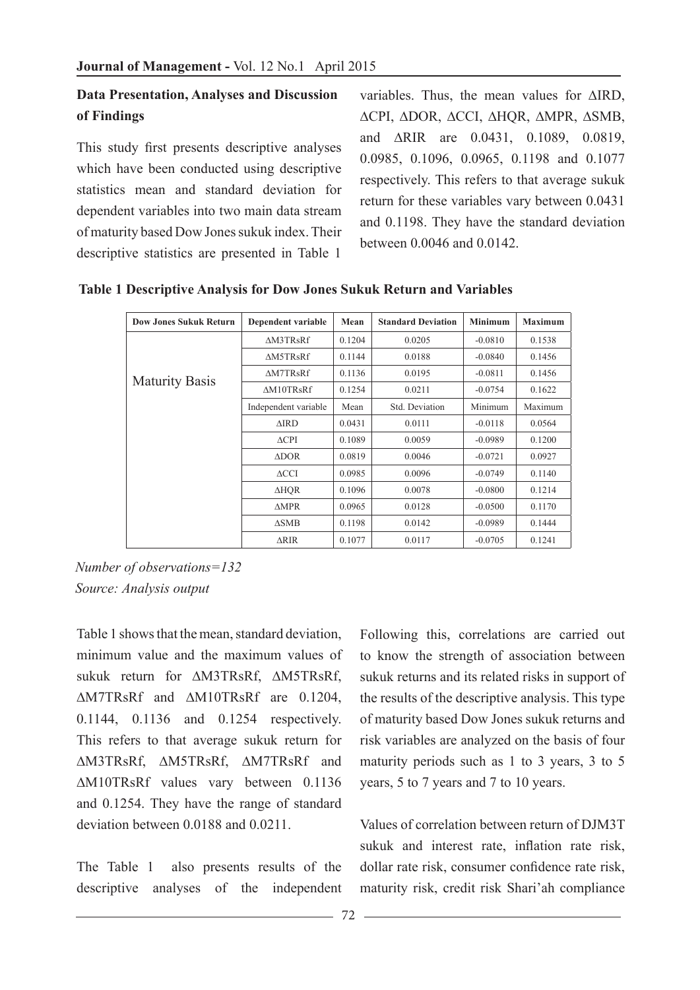# **Data Presentation, Analyses and Discussion of Findings**

This study first presents descriptive analyses which have been conducted using descriptive statistics mean and standard deviation for dependent variables into two main data stream of maturity based Dow Jones sukuk index. Their descriptive statistics are presented in Table 1

variables. Thus, the mean values for ∆IRD, ∆CPI, ∆DOR, ∆CCI, ∆HQR, ∆MPR, ∆SMB, and ∆RIR are 0.0431, 0.1089, 0.0819, 0.0985, 0.1096, 0.0965, 0.1198 and 0.1077 respectively. This refers to that average sukuk return for these variables vary between 0.0431 and 0.1198. They have the standard deviation between 0.0046 and 0.0142.

| <b>Dow Jones Sukuk Return</b> | Dependent variable   | Mean   | <b>Standard Deviation</b> | <b>Minimum</b> | <b>Maximum</b> |
|-------------------------------|----------------------|--------|---------------------------|----------------|----------------|
|                               | <b>AM3TRsRf</b>      | 0.1204 | 0.0205                    | $-0.0810$      | 0.1538         |
|                               | <b>AM5TRsRf</b>      | 0.1144 | 0.0188                    | $-0.0840$      | 0.1456         |
| <b>Maturity Basis</b>         | <b>AM7TRsRf</b>      | 0.1136 | 0.0195                    | $-0.0811$      | 0.1456         |
|                               | AM10TRsRf            | 0.1254 | 0.0211                    | $-0.0754$      | 0.1622         |
|                               | Independent variable | Mean   | Std. Deviation            | Minimum        | Maximum        |
|                               | $\triangle$ IRD      | 0.0431 | 0.0111                    | $-0.0118$      | 0.0564         |
|                               | $\triangle$ CPI      | 0.1089 | 0.0059                    | $-0.0989$      | 0.1200         |
|                               | $\triangle DOR$      | 0.0819 | 0.0046                    | $-0.0721$      | 0.0927         |
|                               | $\triangle CCI$      | 0.0985 | 0.0096                    | $-0.0749$      | 0.1140         |
|                               | ∆HOR                 | 0.1096 | 0.0078                    | $-0.0800$      | 0.1214         |
|                               | $\triangle MPR$      | 0.0965 | 0.0128                    | $-0.0500$      | 0.1170         |
|                               | $\triangle$ SMB      | 0.1198 | 0.0142                    | $-0.0989$      | 0.1444         |
|                               | ∆RIR                 | 0.1077 | 0.0117                    | $-0.0705$      | 0.1241         |

 **Table 1 Descriptive Analysis for Dow Jones Sukuk Return and Variables**

*Number of observations=132 Source: Analysis output*

Table 1 shows that the mean, standard deviation, minimum value and the maximum values of sukuk return for ∆M3TRsRf, ∆M5TRsRf, ∆M7TRsRf and ∆M10TRsRf are 0.1204, 0.1144, 0.1136 and 0.1254 respectively. This refers to that average sukuk return for ∆M3TRsRf, ∆M5TRsRf, ∆M7TRsRf and ∆M10TRsRf values vary between 0.1136 and 0.1254. They have the range of standard deviation between 0.0188 and 0.0211.

The Table 1 also presents results of the descriptive analyses of the independent

Following this, correlations are carried out to know the strength of association between sukuk returns and its related risks in support of the results of the descriptive analysis. This type of maturity based Dow Jones sukuk returns and risk variables are analyzed on the basis of four maturity periods such as 1 to 3 years, 3 to 5 years, 5 to 7 years and 7 to 10 years.

Values of correlation between return of DJM3T sukuk and interest rate, inflation rate risk, dollar rate risk, consumer confidence rate risk, maturity risk, credit risk Shari'ah compliance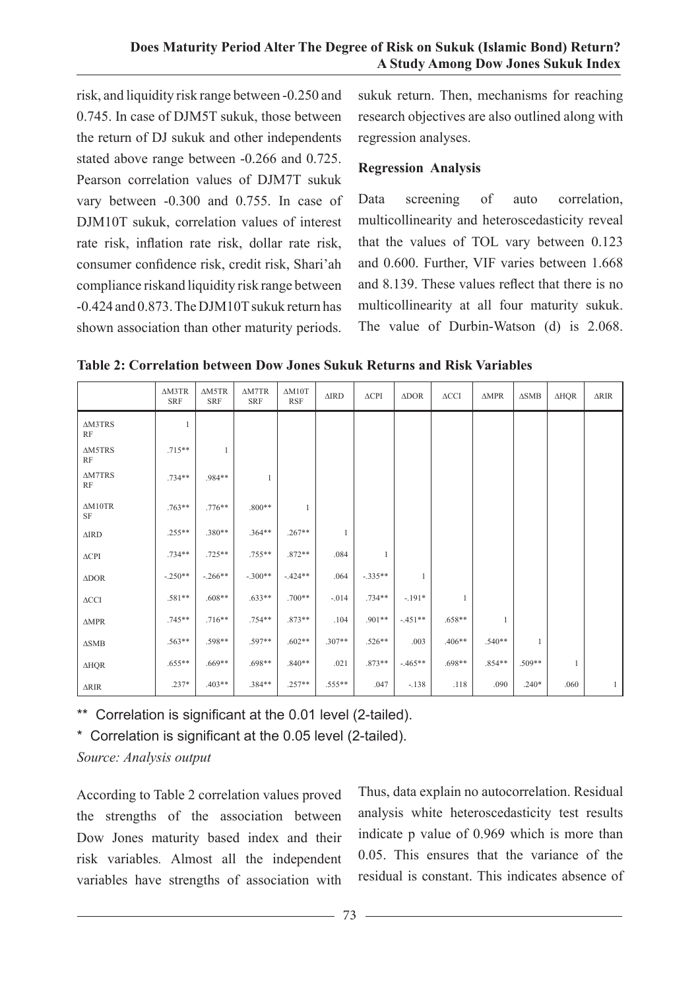risk, and liquidity risk range between -0.250 and 0.745. In case of DJM5T sukuk, those between the return of DJ sukuk and other independents stated above range between -0.266 and 0.725. Pearson correlation values of DJM7T sukuk vary between -0.300 and 0.755. In case of DJM10T sukuk, correlation values of interest rate risk, inflation rate risk, dollar rate risk, consumer confidence risk, credit risk, Shari'ah compliance riskand liquidity risk range between -0.424 and 0.873. The DJM10T sukuk return has shown association than other maturity periods.

sukuk return. Then, mechanisms for reaching research objectives are also outlined along with regression analyses.

### **Regression Analysis**

Data screening of auto correlation, multicollinearity and heteroscedasticity reveal that the values of TOL vary between 0.123 and 0.600. Further, VIF varies between 1.668 and 8.139. These values reflect that there is no multicollinearity at all four maturity sukuk. The value of Durbin-Watson (d) is 2.068.

**Table 2: Correlation between Dow Jones Sukuk Returns and Risk Variables** 

|                                | $\triangle$ M3TR<br><b>SRF</b> | $\triangle M5TR$<br><b>SRF</b> | $\triangle M7TR$<br><b>SRF</b> | $\Delta M10T$<br><b>RSF</b> | $\triangle$ IRD | $\triangle$ CPI | $\triangle DOR$ | $\Delta\text{CCI}$ | $\triangle MPR$ | $\triangle$ SMB | $\Delta HQR$ | $\triangle RIR$ |
|--------------------------------|--------------------------------|--------------------------------|--------------------------------|-----------------------------|-----------------|-----------------|-----------------|--------------------|-----------------|-----------------|--------------|-----------------|
| <b>AM3TRS</b><br>$\mathbf{RF}$ | $\mathbf{1}$                   |                                |                                |                             |                 |                 |                 |                    |                 |                 |              |                 |
| <b>AM5TRS</b><br>RF            | $.715**$                       | $\mathbf{1}$                   |                                |                             |                 |                 |                 |                    |                 |                 |              |                 |
| <b>AM7TRS</b><br>RF            | $.734**$                       | .984**                         | 1                              |                             |                 |                 |                 |                    |                 |                 |              |                 |
| AM10TR<br>$\rm{SF}$            | $.763**$                       | $.776**$                       | $.800**$                       | -1                          |                 |                 |                 |                    |                 |                 |              |                 |
| $\Delta \text{IRD}$            | $.255**$                       | $.380**$                       | $.364**$                       | $.267**$                    | 1               |                 |                 |                    |                 |                 |              |                 |
| $\triangle$ CPI                | $.734**$                       | $.725**$                       | $.755**$                       | $.872**$                    | .084            | 1               |                 |                    |                 |                 |              |                 |
| $\triangle DOR$                | $-.250**$                      | $-.266**$                      | $-.300**$                      | $-424**$                    | .064            | $-.335**$       | 1               |                    |                 |                 |              |                 |
| $\Delta\text{CCI}$             | .581**                         | $.608**$                       | $.633**$                       | $.700**$                    | $-.014$         | $.734**$        | $-191*$         | $\mathbf{1}$       |                 |                 |              |                 |
| $\triangle MPR$                | $.745**$                       | $.716**$                       | $.754**$                       | $.873**$                    | .104            | $.901**$        | $-451**$        | $.658**$           | 1               |                 |              |                 |
| $\Delta \rm SMB$               | $.563**$                       | .598**                         | .597**                         | $.602**$                    | $.307**$        | $.526**$        | .003            | $.406**$           | $.540**$        | $\mathbf{1}$    |              |                 |
| $\Delta HQR$                   | $.655**$                       | $.669**$                       | .698**                         | $.840**$                    | .021            | $.873**$        | $-465**$        | .698**             | .854**          | $.509**$        | $\mathbf{1}$ |                 |
| <b>ARIR</b>                    | $.237*$                        | $.403**$                       | $.384**$                       | $.257**$                    | $.555**$        | .047            | $-.138$         | .118               | .090            | $.240*$         | .060         | $\mathbf{1}$    |

\*\* Correlation is significant at the 0.01 level (2-tailed).

\* Correlation is significant at the 0.05 level (2-tailed).

*Source: Analysis output*

According to Table 2 correlation values proved the strengths of the association between Dow Jones maturity based index and their risk variables*.* Almost all the independent variables have strengths of association with Thus, data explain no autocorrelation. Residual analysis white heteroscedasticity test results indicate p value of 0.969 which is more than 0.05. This ensures that the variance of the residual is constant. This indicates absence of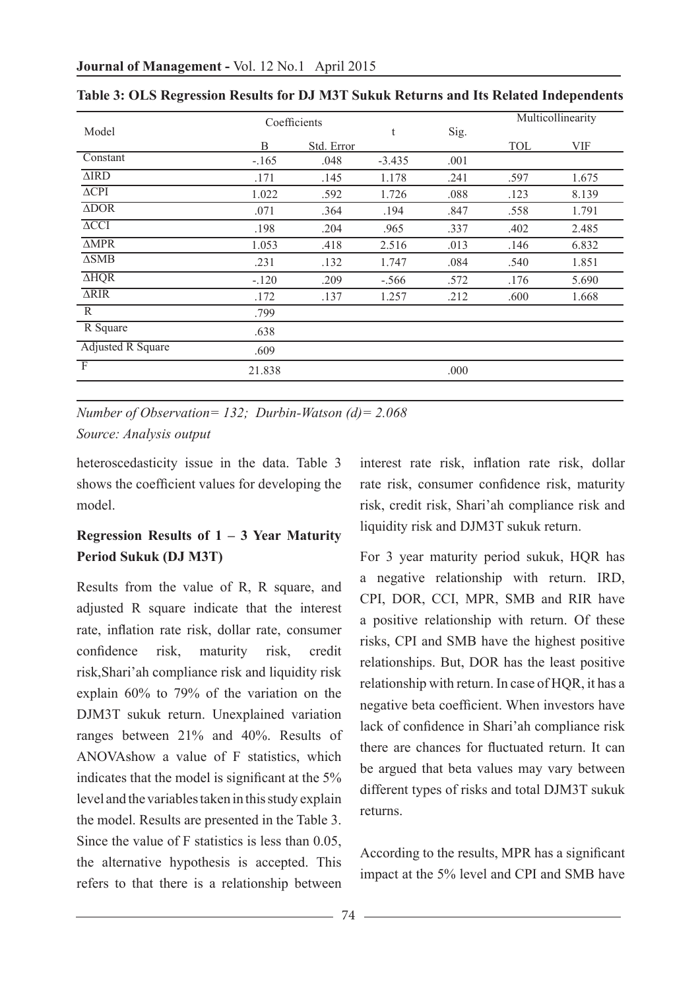|                            | Coefficients |            |          |      | Multicollinearity |       |  |
|----------------------------|--------------|------------|----------|------|-------------------|-------|--|
| Model                      |              |            | t        | Sig. |                   |       |  |
|                            | B            | Std. Error |          |      | TOL               | VIF   |  |
| Constant                   | $-165$       | .048       | $-3.435$ | .001 |                   |       |  |
| $\overline{\text{MRD}}$    | .171         | .145       | 1.178    | .241 | .597              | 1.675 |  |
| $\overline{\triangle CPI}$ | 1.022        | .592       | 1.726    | .088 | .123              | 8.139 |  |
| $\overline{\triangle DOR}$ | .071         | .364       | .194     | .847 | .558              | 1.791 |  |
| $\overline{\triangle CCI}$ | .198         | .204       | .965     | .337 | .402              | 2.485 |  |
| $\overline{\triangle MPR}$ | 1.053        | .418       | 2.516    | .013 | .146              | 6.832 |  |
| $\overline{\triangle SMB}$ | .231         | .132       | 1.747    | .084 | .540              | 1.851 |  |
| $\overline{\text{AHQR}}$   | $-.120$      | .209       | $-.566$  | .572 | .176              | 5.690 |  |
| $\overline{\text{ARIR}}$   | .172         | .137       | 1.257    | .212 | .600              | 1.668 |  |
| $\mathbb{R}$               | .799         |            |          |      |                   |       |  |
| R Square                   | .638         |            |          |      |                   |       |  |
| <b>Adjusted R Square</b>   | .609         |            |          |      |                   |       |  |
| $\overline{F}$             | 21.838       |            |          | .000 |                   |       |  |

|  |  |  | Table 3: OLS Regression Results for DJ M3T Sukuk Returns and Its Related Independents |  |  |
|--|--|--|---------------------------------------------------------------------------------------|--|--|
|--|--|--|---------------------------------------------------------------------------------------|--|--|

*Number of Observation= 132; Durbin-Watson (d)= 2.068 Source: Analysis output*

heteroscedasticity issue in the data. Table 3 shows the coefficient values for developing the model.

# **Regression Results of 1 – 3 Year Maturity Period Sukuk (DJ M3T)**

Results from the value of R, R square, and adjusted R square indicate that the interest rate, inflation rate risk, dollar rate, consumer confidence risk, maturity risk, credit risk,Shari'ah compliance risk and liquidity risk explain 60% to 79% of the variation on the DJM3T sukuk return. Unexplained variation ranges between 21% and 40%. Results of ANOVAshow a value of F statistics, which indicates that the model is significant at the 5% level and the variables taken in this study explain the model. Results are presented in the Table 3. Since the value of F statistics is less than 0.05, the alternative hypothesis is accepted. This refers to that there is a relationship between

interest rate risk, inflation rate risk, dollar rate risk, consumer confidence risk, maturity risk, credit risk, Shari'ah compliance risk and liquidity risk and DJM3T sukuk return.

For 3 year maturity period sukuk, HQR has a negative relationship with return. IRD, CPI, DOR, CCI, MPR, SMB and RIR have a positive relationship with return. Of these risks, CPI and SMB have the highest positive relationships. But, DOR has the least positive relationship with return. In case of HQR, it has a negative beta coefficient. When investors have lack of confidence in Shari'ah compliance risk there are chances for fluctuated return. It can be argued that beta values may vary between different types of risks and total DJM3T sukuk returns.

According to the results, MPR has a significant impact at the 5% level and CPI and SMB have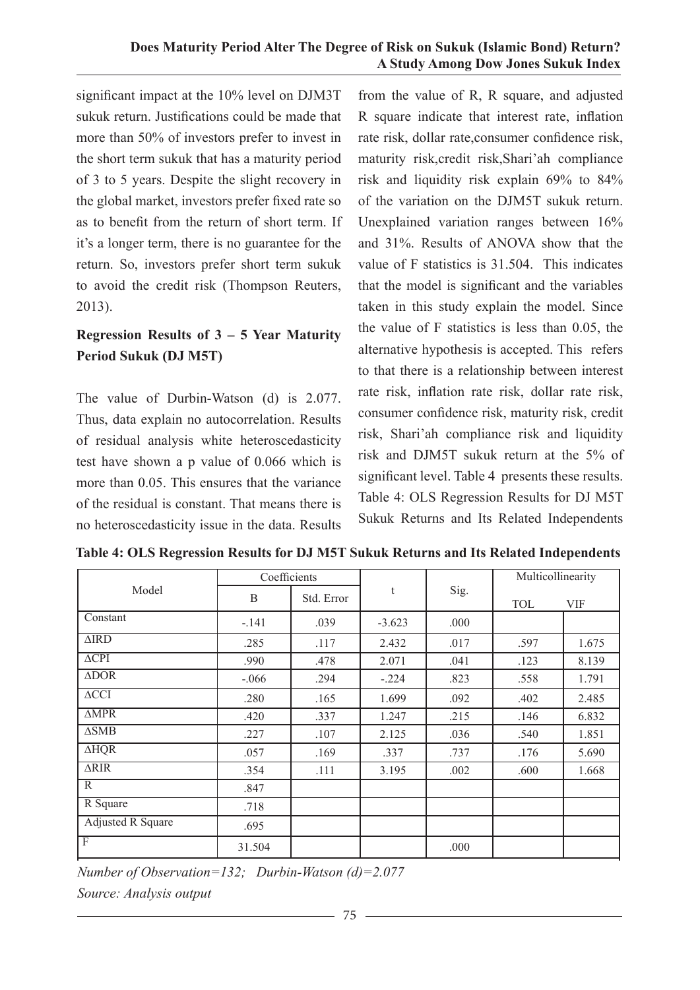#### **Does Maturity Period Alter The Degree of Risk on Sukuk (Islamic Bond) Return? A Study Among Dow Jones Sukuk Index**

significant impact at the 10% level on DJM3T sukuk return. Justifications could be made that more than 50% of investors prefer to invest in the short term sukuk that has a maturity period of 3 to 5 years. Despite the slight recovery in the global market, investors prefer fixed rate so as to benefit from the return of short term. If it's a longer term, there is no guarantee for the return. So, investors prefer short term sukuk to avoid the credit risk (Thompson Reuters, 2013).

# **Regression Results of 3 – 5 Year Maturity Period Sukuk (DJ M5T)**

The value of Durbin-Watson (d) is 2.077. Thus, data explain no autocorrelation. Results of residual analysis white heteroscedasticity test have shown a p value of 0.066 which is more than 0.05. This ensures that the variance of the residual is constant. That means there is no heteroscedasticity issue in the data. Results

from the value of R, R square, and adjusted R square indicate that interest rate, inflation rate risk, dollar rate,consumer confidence risk, maturity risk,credit risk,Shari'ah compliance risk and liquidity risk explain 69% to 84% of the variation on the DJM5T sukuk return. Unexplained variation ranges between 16% and 31%. Results of ANOVA show that the value of F statistics is 31.504. This indicates that the model is significant and the variables taken in this study explain the model. Since the value of F statistics is less than 0.05, the alternative hypothesis is accepted. This refers to that there is a relationship between interest rate risk, inflation rate risk, dollar rate risk, consumer confidence risk, maturity risk, credit risk, Shari'ah compliance risk and liquidity risk and DJM5T sukuk return at the 5% of significant level. Table 4 presents these results. Table 4: OLS Regression Results for DJ M5T Sukuk Returns and Its Related Independents

| Model                    | Coefficients |            | t        | Sig. | Multicollinearity |            |  |
|--------------------------|--------------|------------|----------|------|-------------------|------------|--|
|                          | B            | Std. Error |          |      | <b>TOL</b>        | <b>VIF</b> |  |
| Constant                 | $-.141$      | .039       | $-3.623$ | .000 |                   |            |  |
| $\triangle$ IRD          | .285         | .117       | 2.432    | .017 | .597              | 1.675      |  |
| $\Delta$ CPI             | .990         | .478       | 2.071    | .041 | .123              | 8.139      |  |
| $\triangle DOR$          | $-.066$      | .294       | $-.224$  | .823 | .558              | 1.791      |  |
| $\triangle CCI$          | .280         | .165       | 1.699    | .092 | .402              | 2.485      |  |
| $\triangle MPR$          | .420         | .337       | 1.247    | .215 | .146              | 6.832      |  |
| $\triangle$ SMB          | .227         | .107       | 2.125    | .036 | .540              | 1.851      |  |
| $\overline{\text{AHQR}}$ | .057         | .169       | .337     | .737 | .176              | 5.690      |  |
| ARIR                     | .354         | .111       | 3.195    | .002 | .600              | 1.668      |  |
| R                        | .847         |            |          |      |                   |            |  |
| R Square                 | .718         |            |          |      |                   |            |  |
| <b>Adjusted R Square</b> | .695         |            |          |      |                   |            |  |
| $\overline{F}$           | 31.504       |            |          | .000 |                   |            |  |

**Table 4: OLS Regression Results for DJ M5T Sukuk Returns and Its Related Independents**

*Number of Observation=132; Durbin-Watson (d)=2.077 Source: Analysis output*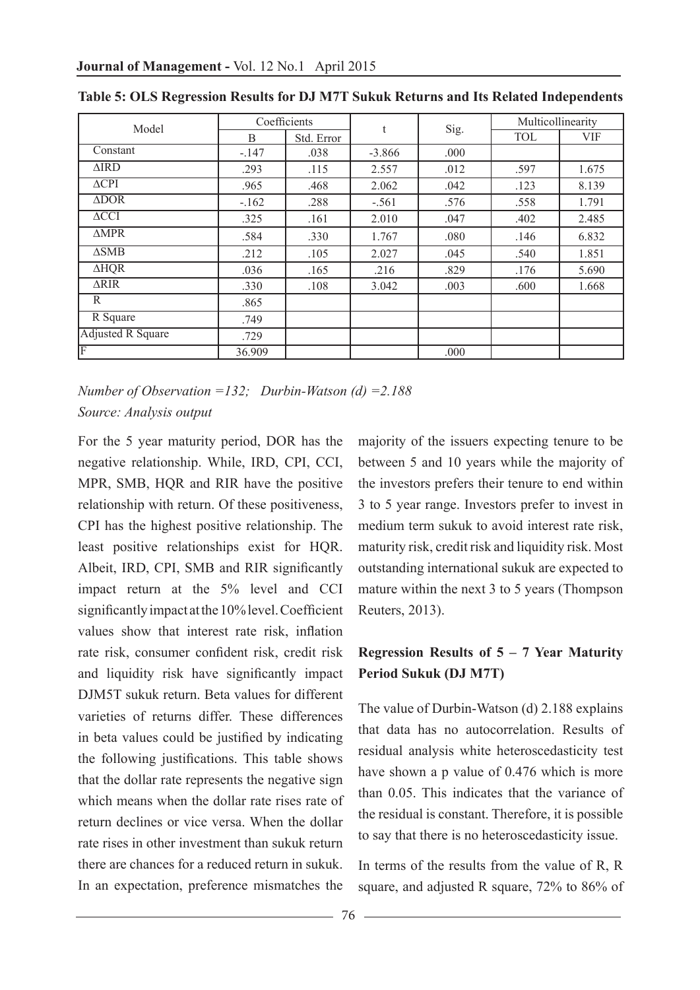| Model                    |         | Coefficients | t        |      | Multicollinearity |            |
|--------------------------|---------|--------------|----------|------|-------------------|------------|
|                          | B       | Std. Error   |          | Sig. | <b>TOL</b>        | <b>VIF</b> |
| Constant                 | $-.147$ | .038         | $-3.866$ | .000 |                   |            |
| $\triangle$ IRD          | .293    | .115         | 2.557    | .012 | .597              | 1.675      |
| $\triangle$ CPI          | .965    | .468         | 2.062    | .042 | .123              | 8.139      |
| $\triangle DOR$          | $-.162$ | .288         | $-.561$  | .576 | .558              | 1.791      |
| $\triangle CCI$          | .325    | .161         | 2.010    | .047 | .402              | 2.485      |
| $\triangle MPR$          | .584    | .330         | 1.767    | .080 | .146              | 6.832      |
| $\triangle$ SMB          | .212    | .105         | 2.027    | .045 | .540              | 1.851      |
| <b>AHQR</b>              | .036    | .165         | .216     | .829 | .176              | 5.690      |
| $\overline{\text{ARIR}}$ | .330    | .108         | 3.042    | .003 | .600              | 1.668      |
| R                        | .865    |              |          |      |                   |            |
| R Square                 | .749    |              |          |      |                   |            |
| <b>Adjusted R Square</b> | .729    |              |          |      |                   |            |
| F                        | 36.909  |              |          | .000 |                   |            |

**Table 5: OLS Regression Results for DJ M7T Sukuk Returns and Its Related Independents**

*Number of Observation =132; Durbin-Watson (d) =2.188 Source: Analysis output*

For the 5 year maturity period, DOR has the negative relationship. While, IRD, CPI, CCI, MPR, SMB, HOR and RIR have the positive relationship with return. Of these positiveness, CPI has the highest positive relationship. The least positive relationships exist for HQR. Albeit, IRD, CPI, SMB and RIR significantly impact return at the 5% level and CCI significantly impact at the 10% level. Coefficient values show that interest rate risk, inflation rate risk, consumer confident risk, credit risk and liquidity risk have significantly impact DJM5T sukuk return. Beta values for different varieties of returns differ. These differences in beta values could be justified by indicating the following justifications. This table shows that the dollar rate represents the negative sign which means when the dollar rate rises rate of return declines or vice versa. When the dollar rate rises in other investment than sukuk return there are chances for a reduced return in sukuk. In an expectation, preference mismatches the

majority of the issuers expecting tenure to be between 5 and 10 years while the majority of the investors prefers their tenure to end within 3 to 5 year range. Investors prefer to invest in medium term sukuk to avoid interest rate risk, maturity risk, credit risk and liquidity risk. Most outstanding international sukuk are expected to mature within the next 3 to 5 years (Thompson Reuters, 2013).

# **Regression Results of 5 – 7 Year Maturity Period Sukuk (DJ M7T)**

The value of Durbin-Watson (d) 2.188 explains that data has no autocorrelation. Results of residual analysis white heteroscedasticity test have shown a p value of 0.476 which is more than 0.05. This indicates that the variance of the residual is constant. Therefore, it is possible to say that there is no heteroscedasticity issue.

In terms of the results from the value of R, R square, and adjusted R square, 72% to 86% of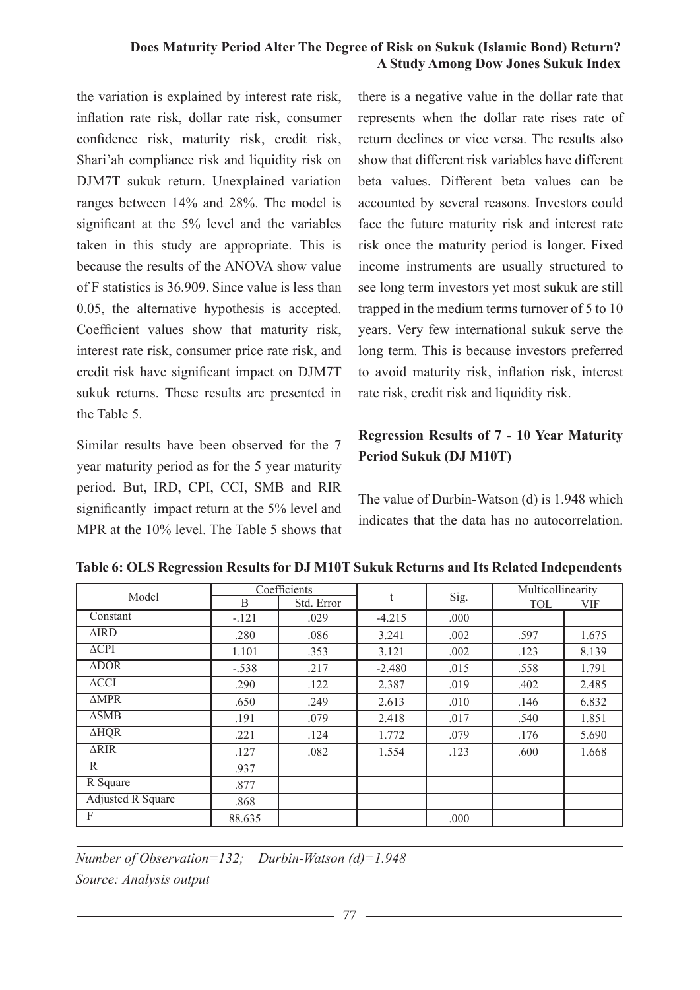### **Does Maturity Period Alter The Degree of Risk on Sukuk (Islamic Bond) Return? A Study Among Dow Jones Sukuk Index**

the variation is explained by interest rate risk, inflation rate risk, dollar rate risk, consumer confidence risk, maturity risk, credit risk, Shari'ah compliance risk and liquidity risk on DJM7T sukuk return. Unexplained variation ranges between 14% and 28%. The model is significant at the 5% level and the variables taken in this study are appropriate. This is because the results of the ANOVA show value of F statistics is 36.909. Since value is less than 0.05, the alternative hypothesis is accepted. Coefficient values show that maturity risk, interest rate risk, consumer price rate risk, and credit risk have significant impact on DJM7T sukuk returns. These results are presented in the Table 5.

Similar results have been observed for the 7 year maturity period as for the 5 year maturity period. But, IRD, CPI, CCI, SMB and RIR significantly impact return at the 5% level and MPR at the 10% level. The Table 5 shows that there is a negative value in the dollar rate that represents when the dollar rate rises rate of return declines or vice versa. The results also show that different risk variables have different beta values. Different beta values can be accounted by several reasons. Investors could face the future maturity risk and interest rate risk once the maturity period is longer. Fixed income instruments are usually structured to see long term investors yet most sukuk are still trapped in the medium terms turnover of 5 to 10 years. Very few international sukuk serve the long term. This is because investors preferred to avoid maturity risk, inflation risk, interest rate risk, credit risk and liquidity risk.

# **Regression Results of 7 - 10 Year Maturity Period Sukuk (DJ M10T)**

The value of Durbin-Watson (d) is 1.948 which indicates that the data has no autocorrelation.

| Model                    | Coefficients |            | t        |      | Multicollinearity |            |  |
|--------------------------|--------------|------------|----------|------|-------------------|------------|--|
|                          | B            | Std. Error |          | Sig. | <b>TOL</b>        | <b>VIF</b> |  |
| Constant                 | $-.121$      | .029       | $-4.215$ | .000 |                   |            |  |
| $\triangle$ IRD          | .280         | .086       | 3.241    | .002 | .597              | 1.675      |  |
| $\triangle$ CPI          | 1.101        | .353       | 3.121    | .002 | .123              | 8.139      |  |
| $\triangle DOR$          | $-.538$      | .217       | $-2.480$ | .015 | .558              | 1.791      |  |
| $\triangle CCI$          | .290         | .122       | 2.387    | .019 | .402              | 2.485      |  |
| $\triangle MPR$          | .650         | .249       | 2.613    | .010 | .146              | 6.832      |  |
| $\triangle$ SMB          | .191         | .079       | 2.418    | .017 | .540              | 1.851      |  |
| $\overline{\text{AHQR}}$ | .221         | .124       | 1.772    | .079 | .176              | 5.690      |  |
| <b>ARIR</b>              | .127         | .082       | 1.554    | .123 | .600              | 1.668      |  |
| R                        | .937         |            |          |      |                   |            |  |
| R Square                 | .877         |            |          |      |                   |            |  |
| <b>Adjusted R Square</b> | .868         |            |          |      |                   |            |  |
| F                        | 88.635       |            |          | .000 |                   |            |  |

**Table 6: OLS Regression Results for DJ M10T Sukuk Returns and Its Related Independents**

*Number of Observation=132; Durbin-Watson (d)=1.948 Source: Analysis output*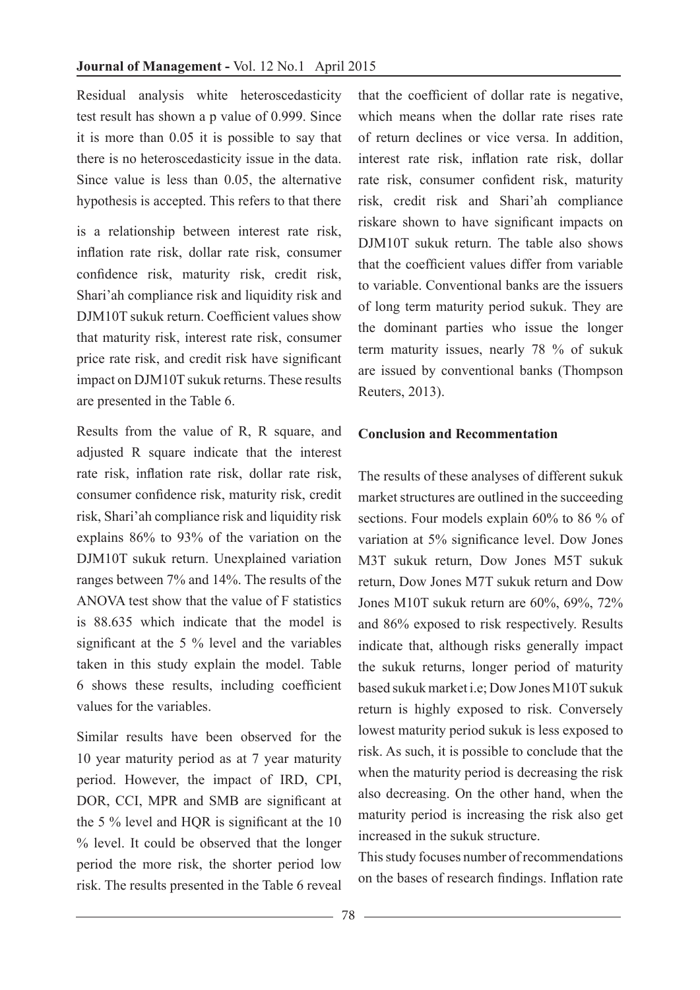Residual analysis white heteroscedasticity test result has shown a p value of 0.999. Since it is more than 0.05 it is possible to say that there is no heteroscedasticity issue in the data. Since value is less than 0.05, the alternative hypothesis is accepted. This refers to that there

is a relationship between interest rate risk, inflation rate risk, dollar rate risk, consumer confidence risk, maturity risk, credit risk, Shari'ah compliance risk and liquidity risk and DJM10T sukuk return. Coefficient values show that maturity risk, interest rate risk, consumer price rate risk, and credit risk have significant impact on DJM10T sukuk returns. These results are presented in the Table 6.

Results from the value of R, R square, and adjusted R square indicate that the interest rate risk, inflation rate risk, dollar rate risk, consumer confidence risk, maturity risk, credit risk, Shari'ah compliance risk and liquidity risk explains 86% to 93% of the variation on the DJM10T sukuk return. Unexplained variation ranges between 7% and 14%. The results of the ANOVA test show that the value of F statistics is 88.635 which indicate that the model is significant at the 5 % level and the variables taken in this study explain the model. Table 6 shows these results, including coefficient values for the variables.

Similar results have been observed for the 10 year maturity period as at 7 year maturity period. However, the impact of IRD, CPI, DOR, CCI, MPR and SMB are significant at the 5 % level and HQR is significant at the 10 % level. It could be observed that the longer period the more risk, the shorter period low risk. The results presented in the Table 6 reveal

that the coefficient of dollar rate is negative, which means when the dollar rate rises rate of return declines or vice versa. In addition, interest rate risk, inflation rate risk, dollar rate risk, consumer confident risk, maturity risk, credit risk and Shari'ah compliance riskare shown to have significant impacts on DJM10T sukuk return. The table also shows that the coefficient values differ from variable to variable. Conventional banks are the issuers of long term maturity period sukuk. They are the dominant parties who issue the longer term maturity issues, nearly 78 % of sukuk are issued by conventional banks (Thompson Reuters, 2013).

### **Conclusion and Recommentation**

The results of these analyses of different sukuk market structures are outlined in the succeeding sections. Four models explain 60% to 86 % of variation at 5% significance level. Dow Jones M3T sukuk return, Dow Jones M5T sukuk return, Dow Jones M7T sukuk return and Dow Jones M10T sukuk return are 60%, 69%, 72% and 86% exposed to risk respectively. Results indicate that, although risks generally impact the sukuk returns, longer period of maturity based sukuk market i.e; Dow Jones M10T sukuk return is highly exposed to risk. Conversely lowest maturity period sukuk is less exposed to risk. As such, it is possible to conclude that the when the maturity period is decreasing the risk also decreasing. On the other hand, when the maturity period is increasing the risk also get increased in the sukuk structure.

This study focuses number of recommendations on the bases of research findings. Inflation rate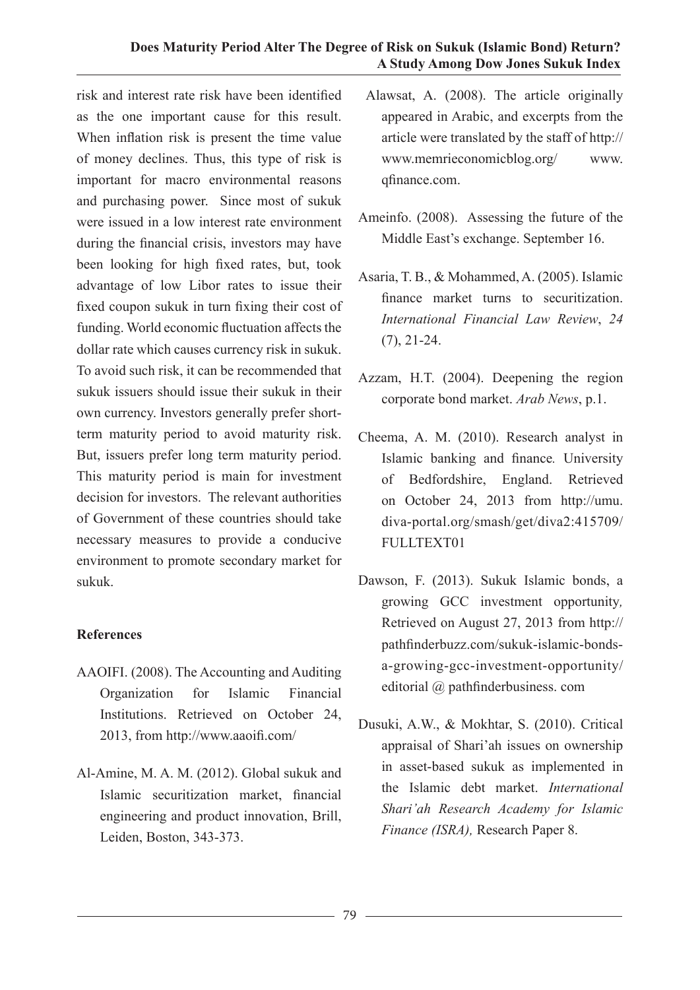### **Does Maturity Period Alter The Degree of Risk on Sukuk (Islamic Bond) Return? A Study Among Dow Jones Sukuk Index**

risk and interest rate risk have been identified as the one important cause for this result. When inflation risk is present the time value of money declines. Thus, this type of risk is important for macro environmental reasons and purchasing power. Since most of sukuk were issued in a low interest rate environment during the financial crisis, investors may have been looking for high fixed rates, but, took advantage of low Libor rates to issue their fixed coupon sukuk in turn fixing their cost of funding. World economic fluctuation affects the dollar rate which causes currency risk in sukuk. To avoid such risk, it can be recommended that sukuk issuers should issue their sukuk in their own currency. Investors generally prefer shortterm maturity period to avoid maturity risk. But, issuers prefer long term maturity period. This maturity period is main for investment decision for investors. The relevant authorities of Government of these countries should take necessary measures to provide a conducive environment to promote secondary market for sukuk.

### **References**

- AAOIFI. (2008). The Accounting and Auditing Organization for Islamic Financial Institutions. Retrieved on October 24, 2013, from http://www.aaoifi.com/
- Al-Amine, M. A. M. (2012). Global sukuk and Islamic securitization market, financial engineering and product innovation, Brill, Leiden, Boston, 343-373.
- Alawsat, A. (2008). The article originally appeared in Arabic, and excerpts from the article were translated by the staff of http:// www.memrieconomicblog.org/ www. qfinance.com.
- Ameinfo. (2008). Assessing the future of the Middle East's exchange. September 16.
- Asaria, T. B., & Mohammed, A. (2005). Islamic finance market turns to securitization. *International Financial Law Review*, *24* (7), 21-24.
- Azzam, H.T. (2004). Deepening the region corporate bond market. *Arab News*, p.1.
- Cheema, A. M. (2010). Research analyst in Islamic banking and finance*.* University of Bedfordshire, England. Retrieved on October 24, 2013 from http://umu. diva-portal.org/smash/get/diva2:415709/ FULLTEXT01
- Dawson, F. (2013). Sukuk Islamic bonds, a growing GCC investment opportunity*,*  Retrieved on August 27, 2013 from http:// pathfinderbuzz.com/sukuk-islamic-bondsa-growing-gcc-investment-opportunity/ editorial @ pathfinderbusiness. com
- Dusuki, A.W., & Mokhtar, S. (2010). Critical appraisal of Shari'ah issues on ownership in asset-based sukuk as implemented in the Islamic debt market. *International Shari'ah Research Academy for Islamic Finance (ISRA),* Research Paper 8.